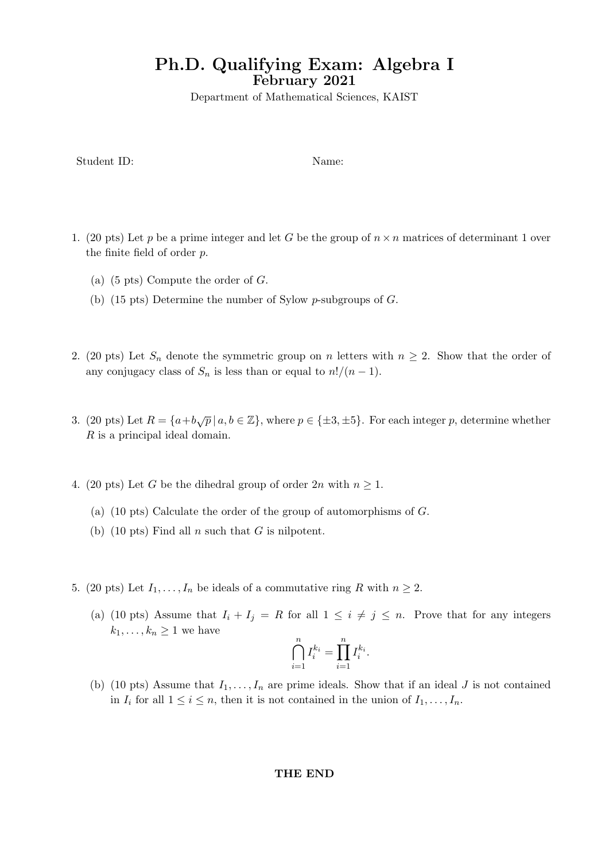# Ph.D. Qualifying Exam: Algebra I February 2021

Department of Mathematical Sciences, KAIST

Student ID: Name:

- 1. (20 pts) Let p be a prime integer and let G be the group of  $n \times n$  matrices of determinant 1 over the finite field of order p.
	- (a)  $(5 \text{ pts})$  Compute the order of  $G$ .
	- (b) (15 pts) Determine the number of Sylow p-subgroups of G.
- 2. (20 pts) Let  $S_n$  denote the symmetric group on n letters with  $n \geq 2$ . Show that the order of any conjugacy class of  $S_n$  is less than or equal to  $n!/(n-1)$ .
- 3. (20 pts) Let  $R = \{a+b\sqrt{p} \mid a,b \in \mathbb{Z}\}$ , where  $p \in \{\pm 3, \pm 5\}$ . For each integer p, determine whether R is a principal ideal domain.
- 4. (20 pts) Let G be the dihedral group of order  $2n$  with  $n \geq 1$ .
	- (a) (10 pts) Calculate the order of the group of automorphisms of G.
	- (b) (10 pts) Find all  $n$  such that  $G$  is nilpotent.
- 5. (20 pts) Let  $I_1, \ldots, I_n$  be ideals of a commutative ring R with  $n \geq 2$ .
	- (a) (10 pts) Assume that  $I_i + I_j = R$  for all  $1 \leq i \neq j \leq n$ . Prove that for any integers  $k_1, \ldots, k_n \geq 1$  we have

$$
\bigcap_{i=1}^n I_i^{k_i} = \prod_{i=1}^n I_i^{k_i}.
$$

(b) (10 pts) Assume that  $I_1, \ldots, I_n$  are prime ideals. Show that if an ideal J is not contained in  $I_i$  for all  $1 \leq i \leq n$ , then it is not contained in the union of  $I_1, \ldots, I_n$ .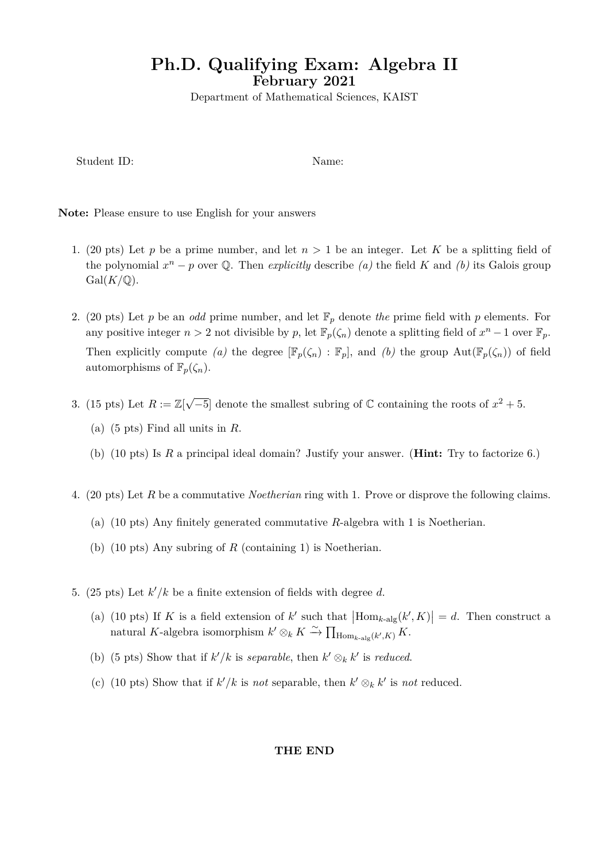# **Ph.D. Qualifying Exam: Algebra II February 2021**

Department of Mathematical Sciences, KAIST

Student ID: Name:

**Note:** Please ensure to use English for your answers

- 1. (20 pts) Let *p* be a prime number, and let  $n > 1$  be an integer. Let K be a splitting field of the polynomial  $x^n - p$  over Q. Then *explicitly* describe *(a)* the field *K* and *(b)* its Galois group  $Gal(K/\mathbb{Q})$ .
- 2. (20 pts) Let *p* be an *odd* prime number, and let F*<sup>p</sup>* denote *the* prime field with *p* elements. For any positive integer  $n > 2$  not divisible by  $p$ , let  $\mathbb{F}_p(\zeta_n)$  denote a splitting field of  $x^n - 1$  over  $\mathbb{F}_p$ . Then explicitly compute *(a)* the degree  $[\mathbb{F}_p(\zeta_n) : \mathbb{F}_p]$ , and *(b)* the group  $Aut(\mathbb{F}_p(\zeta_n))$  of field automorphisms of  $\mathbb{F}_p(\zeta_n)$ .
- 3. (15 pts) Let  $R := \mathbb{Z}[\sqrt{-5}]$  denote the smallest subring of  $\mathbb C$  containing the roots of  $x^2 + 5$ .
	- (a) (5 pts) Find all units in *R*.
	- (b) (10 pts) Is *R* a principal ideal domain? Justify your answer. (**Hint:** Try to factorize 6.)
- 4. (20 pts) Let *R* be a commutative *Noetherian* ring with 1. Prove or disprove the following claims.
	- (a) (10 pts) Any finitely generated commutative *R*-algebra with 1 is Noetherian.
	- (b) (10 pts) Any subring of *R* (containing 1) is Noetherian.
- 5. (25 pts) Let *k ′/k* be a finite extension of fields with degree *d*.
	- (a) (10 pts) If K is a field extension of k' such that  $\left|\text{Hom}_{k\text{-alg}}(k',K)\right|=d$ . Then construct a natural *K*-algebra isomorphism  $k' \otimes_k K \xrightarrow{\sim} \prod_{\text{Hom}_{k\text{-alg}}(k',K)} K$ .
	- (b) (5 pts) Show that if  $k'/k$  is *separable*, then  $k' \otimes_k k'$  is *reduced*.
	- (c) (10 pts) Show that if  $k'/k$  is *not* separable, then  $k' \otimes_k k'$  is *not* reduced.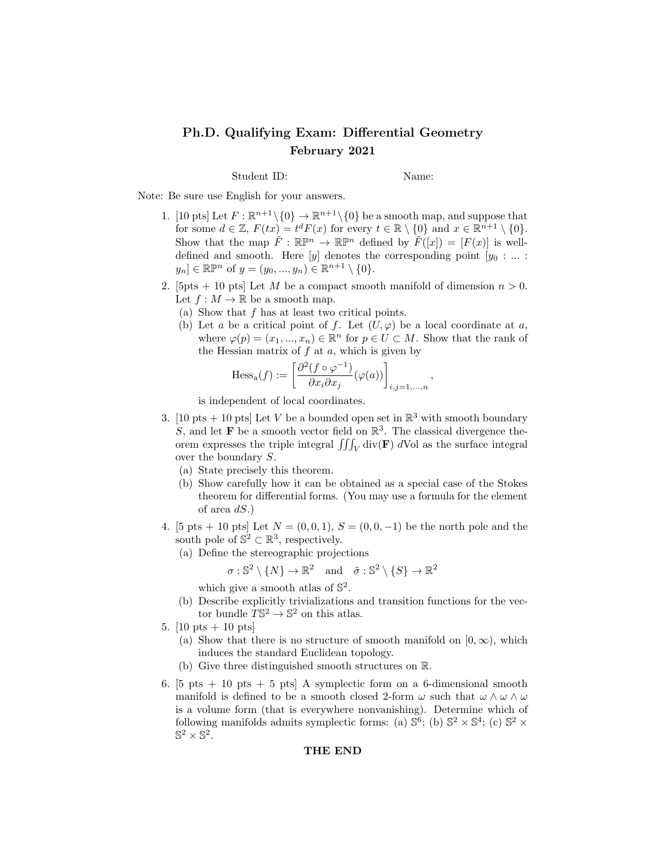# Ph.D. Qualifying Exam: Differential Geometry February 2021

Student ID: Name:

Note: Be sure use English for your answers.

- 1. [10 pts] Let  $F : \mathbb{R}^{n+1} \setminus \{0\} \to \mathbb{R}^{n+1} \setminus \{0\}$  be a smooth map, and suppose that for some  $d \in \mathbb{Z}$ ,  $F(tx) = t^d F(x)$  for every  $t \in \mathbb{R} \setminus \{0\}$  and  $x \in \mathbb{R}^{n+1} \setminus \{0\}$ . Show that the map  $\tilde{F}: \mathbb{R}\mathbb{P}^n \to \mathbb{R}\mathbb{P}^n$  defined by  $\tilde{F}([x]) = [F(x)]$  is welldefined and smooth. Here  $[y]$  denotes the corresponding point  $[y_0 : ... :]$  $y_n] \in \mathbb{R} \mathbb{P}^n$  of  $y = (y_0, ..., y_n) \in \mathbb{R}^{n+1} \setminus \{0\}.$
- 2. [5pts + 10 pts] Let M be a compact smooth manifold of dimension  $n > 0$ . Let  $f : M \to \mathbb{R}$  be a smooth map.
	- (a) Show that f has at least two critical points.
	- (b) Let a be a critical point of f. Let  $(U, \varphi)$  be a local coordinate at a, where  $\varphi(p) = (x_1, ..., x_n) \in \mathbb{R}^n$  for  $p \in U \subset M$ . Show that the rank of the Hessian matrix of  $f$  at  $a$ , which is given by

$$
\mathrm{Hess}_{\mathrm{a}}(f) := \left[ \frac{\partial^2 (f \circ \varphi^{-1})}{\partial x_i \partial x_j} (\varphi(a)) \right]_{i,j=1,\ldots,n},
$$

is independent of local coordinates.

- 3. [10 pts + 10 pts] Let V be a bounded open set in  $\mathbb{R}^3$  with smooth boundary S, and let **F** be a smooth vector field on  $\mathbb{R}^3$ . The classical divergence theorem expresses the triple integral  $\iiint_V \text{div}(\mathbf{F}) dV$ ol as the surface integral over the boundary S.
	- (a) State precisely this theorem.
	- (b) Show carefully how it can be obtained as a special case of the Stokes theorem for differential forms. (You may use a formula for the element of area  $dS.$ )
- 4. [5 pts + 10 pts] Let  $N = (0, 0, 1), S = (0, 0, -1)$  be the north pole and the south pole of  $\mathbb{S}^2 \subset \mathbb{R}^3$ , respectively.
	- (a) Define the stereographic projections

$$
\sigma : \mathbb{S}^2 \setminus \{N\} \to \mathbb{R}^2
$$
 and  $\tilde{\sigma} : \mathbb{S}^2 \setminus \{S\} \to \mathbb{R}^2$ 

which give a smooth atlas of  $\mathbb{S}^2$ .

- (b) Describe explicitly trivializations and transition functions for the vector bundle  $T\mathbb{S}^2 \to \mathbb{S}^2$  on this at las.
- 5.  $[10 \text{ pts} + 10 \text{ pts}]$ 
	- (a) Show that there is no structure of smooth manifold on  $[0, \infty)$ , which induces the standard Euclidean topology.
	- (b) Give three distinguished smooth structures on R.
- 6. [5 pts  $+ 10$  pts  $+ 5$  pts] A symplectic form on a 6-dimensional smooth manifold is defined to be a smooth closed 2-form  $\omega$  such that  $\omega \wedge \omega \wedge \omega$ is a volume form (that is everywhere nonvanishing). Determine which of following manifolds admits symplectic forms: (a)  $\mathbb{S}^6$ ; (b)  $\mathbb{S}^2 \times \mathbb{S}^4$ ; (c)  $\mathbb{S}^2 \times$  $\mathbb{S}^2 \times \mathbb{S}^2$ .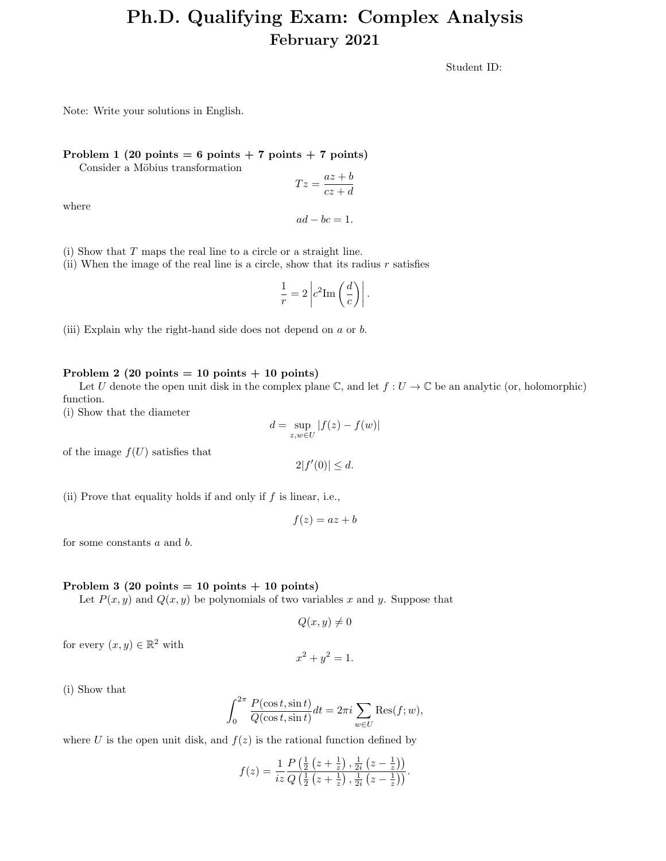# Ph.D. Qualifying Exam: Complex Analysis February 2021

Student ID:

Note: Write your solutions in English.

#### Problem 1 (20 points = 6 points + 7 points + 7 points)

Consider a Möbius transformation

$$
Tz = \frac{az+b}{cz+d}
$$

where

$$
ad - bc = 1.
$$

(i) Show that T maps the real line to a circle or a straight line.

(ii) When the image of the real line is a circle, show that its radius  $r$  satisfies

$$
\frac{1}{r} = 2 \left| c^2 \text{Im} \left( \frac{d}{c} \right) \right|.
$$

(iii) Explain why the right-hand side does not depend on a or b.

#### Problem 2 (20 points  $= 10$  points  $+ 10$  points)

Let U denote the open unit disk in the complex plane C, and let  $f: U \to \mathbb{C}$  be an analytic (or, holomorphic) function.

(i) Show that the diameter

$$
d = \sup_{z,w \in U} |f(z) - f(w)|
$$

 $2|f'(0)| \leq d.$ 

of the image  $f(U)$  satisfies that

(ii) Prove that equality holds if and only if  $f$  is linear, i.e.,

$$
f(z) = az + b
$$

for some constants a and b.

### Problem 3 (20 points  $= 10$  points  $+ 10$  points)

Let  $P(x, y)$  and  $Q(x, y)$  be polynomials of two variables x and y. Suppose that

$$
Q(x, y) \neq 0
$$

for every  $(x, y) \in \mathbb{R}^2$  with

$$
x^2 + y^2 = 1.
$$

(i) Show that

$$
\int_0^{2\pi} \frac{P(\cos t, \sin t)}{Q(\cos t, \sin t)} dt = 2\pi i \sum_{w \in U} \text{Res}(f; w),
$$

where U is the open unit disk, and  $f(z)$  is the rational function defined by

$$
f(z) = \frac{1}{iz} \frac{P\left(\frac{1}{2}\left(z + \frac{1}{z}\right), \frac{1}{2i}\left(z - \frac{1}{z}\right)\right)}{Q\left(\frac{1}{2}\left(z + \frac{1}{z}\right), \frac{1}{2i}\left(z - \frac{1}{z}\right)\right)}.
$$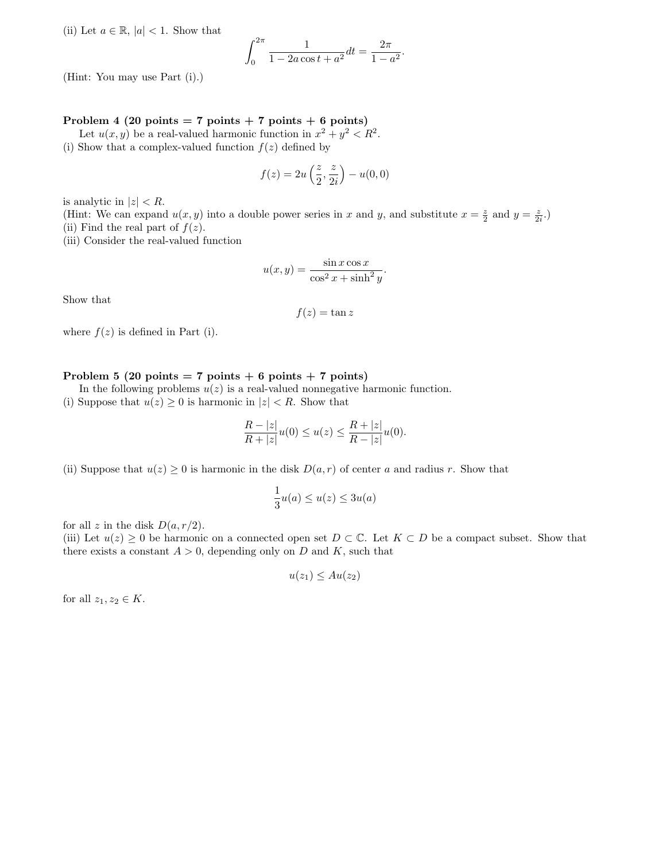(ii) Let  $a \in \mathbb{R}$ ,  $|a| < 1$ . Show that

$$
\int_0^{2\pi} \frac{1}{1 - 2a\cos t + a^2} dt = \frac{2\pi}{1 - a^2}.
$$

(Hint: You may use Part (i).)

### Problem 4 (20 points = 7 points + 7 points + 6 points)

Let  $u(x, y)$  be a real-valued harmonic function in  $x^2 + y^2 < R^2$ . (i) Show that a complex-valued function  $f(z)$  defined by

$$
f(z) = 2u\left(\frac{z}{2}, \frac{z}{2i}\right) - u(0, 0)
$$

is analytic in  $|z| < R$ .

(Hint: We can expand  $u(x, y)$  into a double power series in x and y, and substitute  $x = \frac{z}{2}$  and  $y = \frac{z}{2i}$ .) (ii) Find the real part of  $f(z)$ .

(iii) Consider the real-valued function

$$
u(x,y) = \frac{\sin x \cos x}{\cos^2 x + \sinh^2 y}.
$$

Show that

$$
f(z) = \tan z
$$

where  $f(z)$  is defined in Part (i).

#### Problem 5 (20 points = 7 points + 6 points + 7 points)

In the following problems  $u(z)$  is a real-valued nonnegative harmonic function.

(i) Suppose that  $u(z) \geq 0$  is harmonic in  $|z| < R$ . Show that

$$
\frac{R-|z|}{R+|z|}u(0) \le u(z) \le \frac{R+|z|}{R-|z|}u(0).
$$

(ii) Suppose that  $u(z) \geq 0$  is harmonic in the disk  $D(a, r)$  of center a and radius r. Show that

$$
\frac{1}{3}u(a) \le u(z) \le 3u(a)
$$

for all z in the disk  $D(a, r/2)$ .

(iii) Let  $u(z) \geq 0$  be harmonic on a connected open set  $D \subset \mathbb{C}$ . Let  $K \subset D$  be a compact subset. Show that there exists a constant  $A > 0$ , depending only on D and K, such that

$$
u(z_1) \leq Au(z_2)
$$

for all  $z_1, z_2 \in K$ .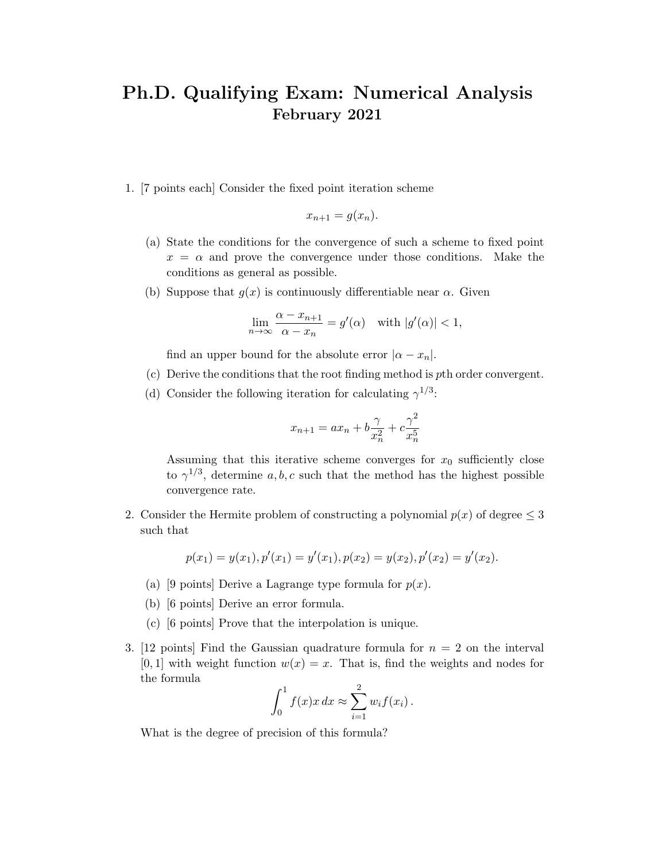# Ph.D. Qualifying Exam: Numerical Analysis February 2021

1. [7 points each] Consider the fixed point iteration scheme

$$
x_{n+1} = g(x_n).
$$

- (a) State the conditions for the convergence of such a scheme to fixed point  $x = \alpha$  and prove the convergence under those conditions. Make the conditions as general as possible.
- (b) Suppose that  $g(x)$  is continuously differentiable near  $\alpha$ . Given

$$
\lim_{n \to \infty} \frac{\alpha - x_{n+1}}{\alpha - x_n} = g'(\alpha) \quad \text{with } |g'(\alpha)| < 1,
$$

find an upper bound for the absolute error  $|\alpha - x_n|$ .

- (c) Derive the conditions that the root finding method is pth order convergent.
- (d) Consider the following iteration for calculating  $\gamma^{1/3}$ :

$$
x_{n+1} = ax_n + b\frac{\gamma}{x_n^2} + c\frac{\gamma^2}{x_n^5}
$$

Assuming that this iterative scheme converges for  $x_0$  sufficiently close to  $\gamma^{1/3}$ , determine a, b, c such that the method has the highest possible convergence rate.

2. Consider the Hermite problem of constructing a polynomial  $p(x)$  of degree  $\leq$  3 such that

$$
p(x_1) = y(x_1), p'(x_1) = y'(x_1), p(x_2) = y(x_2), p'(x_2) = y'(x_2).
$$

- (a) [9 points] Derive a Lagrange type formula for  $p(x)$ .
- (b) [6 points] Derive an error formula.
- (c) [6 points] Prove that the interpolation is unique.
- 3. [12 points] Find the Gaussian quadrature formula for  $n = 2$  on the interval  $[0, 1]$  with weight function  $w(x) = x$ . That is, find the weights and nodes for the formula  $\Omega$

$$
\int_0^1 f(x)x\,dx \approx \sum_{i=1}^2 w_i f(x_i)\,.
$$

What is the degree of precision of this formula?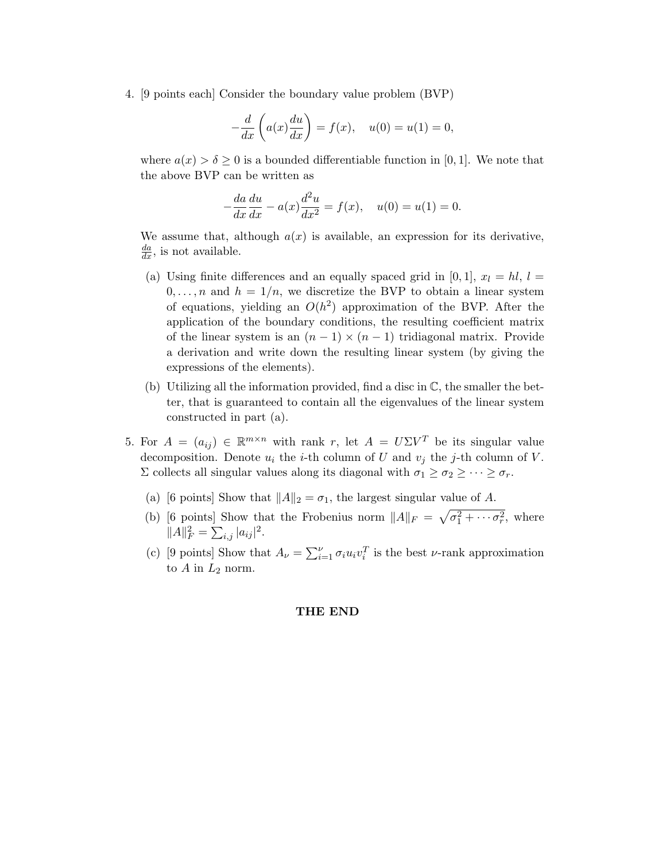4. [9 points each] Consider the boundary value problem (BVP)

$$
-\frac{d}{dx}\left(a(x)\frac{du}{dx}\right) = f(x), \quad u(0) = u(1) = 0,
$$

where  $a(x) > \delta \geq 0$  is a bounded differentiable function in [0, 1]. We note that the above BVP can be written as

$$
-\frac{da}{dx}\frac{du}{dx} - a(x)\frac{d^2u}{dx^2} = f(x), \quad u(0) = u(1) = 0.
$$

We assume that, although  $a(x)$  is available, an expression for its derivative,  $\frac{da}{dx}$ , is not available.

- (a) Using finite differences and an equally spaced grid in [0, 1],  $x_l = hl$ ,  $l =$  $0, \ldots, n$  and  $h = 1/n$ , we discretize the BVP to obtain a linear system of equations, yielding an  $O(h^2)$  approximation of the BVP. After the application of the boundary conditions, the resulting coefficient matrix of the linear system is an  $(n-1) \times (n-1)$  tridiagonal matrix. Provide a derivation and write down the resulting linear system (by giving the expressions of the elements).
- (b) Utilizing all the information provided, find a disc in  $\mathbb{C}$ , the smaller the better, that is guaranteed to contain all the eigenvalues of the linear system constructed in part (a).
- 5. For  $A = (a_{ij}) \in \mathbb{R}^{m \times n}$  with rank r, let  $A = U \Sigma V^T$  be its singular value decomposition. Denote  $u_i$  the *i*-th column of U and  $v_j$  the *j*-th column of V.  $\Sigma$  collects all singular values along its diagonal with  $\sigma_1 \geq \sigma_2 \geq \cdots \geq \sigma_r$ .
	- (a) [6 points] Show that  $||A||_2 = \sigma_1$ , the largest singular value of A.
	- (b) [6 points] Show that the Frobenius norm  $||A||_F = \sqrt{\sigma_1^2 + \cdots + \sigma_r^2}$ , where  $||A||_F^2 = \sum_{i,j} |a_{ij}|^2.$
	- (c) [9 points] Show that  $A_{\nu} = \sum_{i=1}^{\nu} \sigma_i u_i v_i^T$  is the best  $\nu$ -rank approximation to  $A$  in  $L_2$  norm.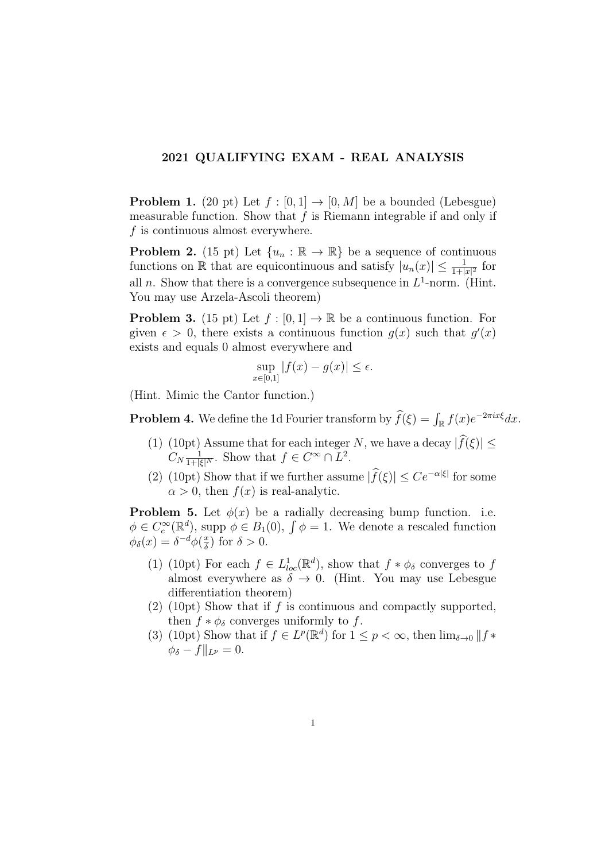## 2021 QUALIFYING EXAM - REAL ANALYSIS

**Problem 1.** (20 pt) Let  $f : [0,1] \rightarrow [0,M]$  be a bounded (Lebesgue) measurable function. Show that  $f$  is Riemann integrable if and only if  $f$  is continuous almost everywhere.

**Problem 2.** (15 pt) Let  $\{u_n : \mathbb{R} \to \mathbb{R}\}$  be a sequence of continuous functions on  $\mathbb R$  that are equicontinuous and satisfy  $|u_n(x)| \leq \frac{1}{1+|x|^2}$  for all *n*. Show that there is a convergence subsequence in  $L^1$ -norm. (Hint. You may use Arzela-Ascoli theorem)

**Problem 3.** (15 pt) Let  $f : [0, 1] \to \mathbb{R}$  be a continuous function. For given  $\epsilon > 0$ , there exists a continuous function  $g(x)$  such that  $g'(x)$ exists and equals 0 almost everywhere and

$$
\sup_{x \in [0,1]} |f(x) - g(x)| \le \epsilon.
$$

(Hint. Mimic the Cantor function.)

**Problem 4.** We define the 1d Fourier transform by  $\hat{f}(\xi) = \int_{\mathbb{R}} f(x)e^{-2\pi ix\xi} dx$ .

- (1) (10pt) Assume that for each integer N, we have a decay  $|\widehat{f}(\xi)| \leq$  $C_N \frac{1}{1+|\xi|^N}$ . Show that  $f \in C^\infty \cap L^2$ .
- (2) (10pt) Show that if we further assume  $|f(\xi)| \leq Ce^{-\alpha|\xi|}$  for some  $\alpha > 0$ , then  $f(x)$  is real-analytic.

**Problem 5.** Let  $\phi(x)$  be a radially decreasing bump function. i.e.  $\phi \in C_c^{\infty}(\mathbb{R}^d)$ , supp  $\phi \in B_1(0)$ ,  $\int \phi = 1$ . We denote a rescaled function  $\phi_{\delta}(x) = \delta^{-d}\phi(\frac{x}{\delta})$  $\frac{x}{\delta}$ ) for  $\delta > 0$ .

- (1) (10pt) For each  $f \in L^1_{loc}(\mathbb{R}^d)$ , show that  $f * \phi_\delta$  converges to f almost everywhere as  $\delta \rightarrow 0$ . (Hint. You may use Lebesgue differentiation theorem)
- $(2)$  (10pt) Show that if f is continuous and compactly supported, then  $f * \phi_{\delta}$  converges uniformly to f.
- (3) (10pt) Show that if  $f \in L^p(\mathbb{R}^d)$  for  $1 \leq p < \infty$ , then  $\lim_{\delta \to 0} ||f *$  $\phi_{\delta} - f\|_{L^p} = 0.$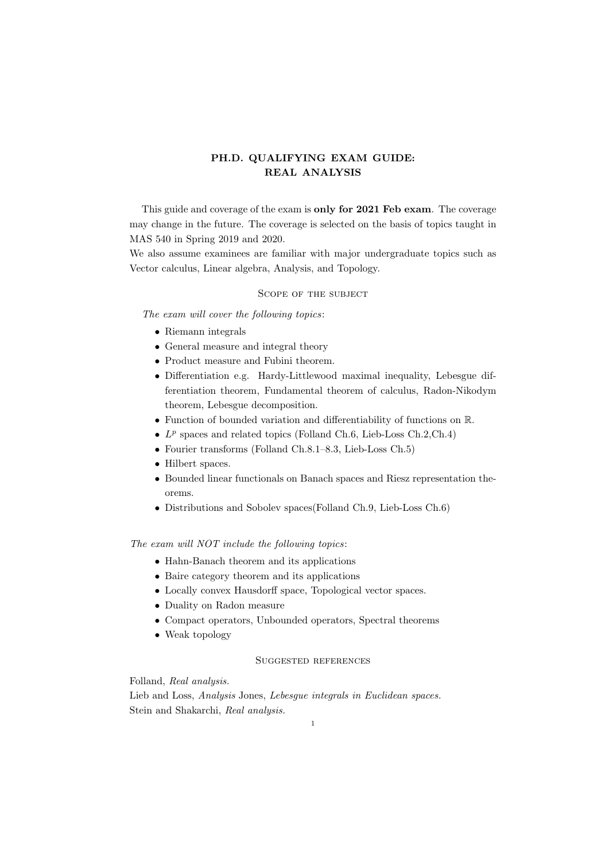## **PH.D. QUALIFYING EXAM GUIDE: REAL ANALYSIS**

This guide and coverage of the exam is **only for 2021 Feb exam**. The coverage may change in the future. The coverage is selected on the basis of topics taught in MAS 540 in Spring 2019 and 2020.

We also assume examinees are familiar with major undergraduate topics such as Vector calculus, Linear algebra, Analysis, and Topology.

#### Scope of the subject

*The exam will cover the following topics*:

- *•* Riemann integrals
- *•* General measure and integral theory
- *•* Product measure and Fubini theorem.
- *•* Differentiation e.g. Hardy-Littlewood maximal inequality, Lebesgue differentiation theorem, Fundamental theorem of calculus, Radon-Nikodym theorem, Lebesgue decomposition.
- *•* Function of bounded variation and differentiability of functions on R.
- $\bullet$   $L^p$  spaces and related topics (Folland Ch.6, Lieb-Loss Ch.2,Ch.4)
- *•* Fourier transforms (Folland Ch.8.1–8.3, Lieb-Loss Ch.5)
- *•* Hilbert spaces.
- *•* Bounded linear functionals on Banach spaces and Riesz representation theorems.
- *•* Distributions and Sobolev spaces(Folland Ch.9, Lieb-Loss Ch.6)

*The exam will NOT include the following topics*:

- Hahn-Banach theorem and its applications
- *•* Baire category theorem and its applications
- *•* Locally convex Hausdorff space, Topological vector spaces.
- *•* Duality on Radon measure
- *•* Compact operators, Unbounded operators, Spectral theorems
- *•* Weak topology

#### Suggested references

Folland, *Real analysis.*

Lieb and Loss, *Analysis* Jones, *Lebesgue integrals in Euclidean spaces.* Stein and Shakarchi, *Real analysis.*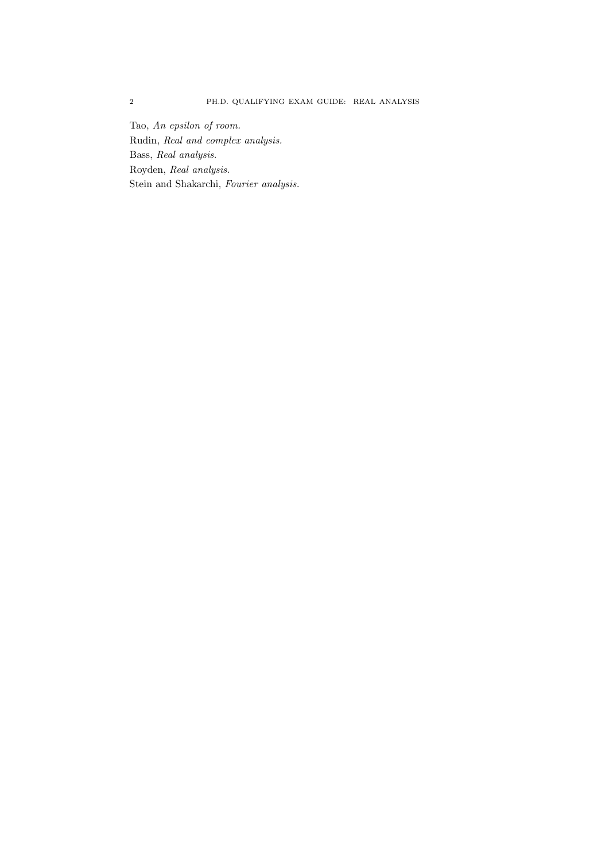Tao, *An epsilon of room.* Rudin, *Real and complex analysis.* Bass, *Real analysis.* Royden, *Real analysis.* Stein and Shakarchi, *Fourier analysis.*